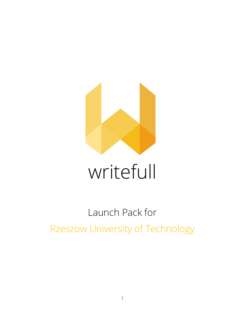

# writefull

## Launch Pack for Rzeszow University of Technology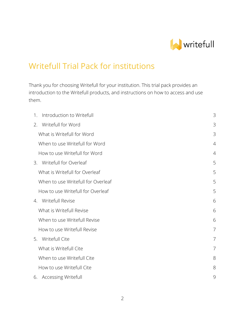

## Writefull Trial Pack for institutions

Thank you for choosing Writefull for your institution. This trial pack provides an introduction to the Writefull products, and instructions on how to access and use them.

| Introduction to Writefull<br>1.    | 3              |
|------------------------------------|----------------|
| Writefull for Word<br>2.           | 3              |
| What is Writefull for Word         | 3              |
| When to use Writefull for Word     | $\overline{4}$ |
| How to use Writefull for Word      | $\overline{4}$ |
| 3. Writefull for Overleaf          | 5              |
| What is Writefull for Overleaf     | 5              |
| When to use Writefull for Overleaf | 5              |
| How to use Writefull for Overleaf  | 5              |
| 4. Writefull Revise                | 6              |
| What is Writefull Revise           | 6              |
| When to use Writefull Revise       | 6              |
| How to use Writefull Revise        | $\overline{7}$ |
| 5. Writefull Cite                  | $\overline{7}$ |
| What is Writefull Cite             | $\overline{7}$ |
| When to use Writefull Cite         | 8              |
| How to use Writefull Cite          | 8              |
| 6. Accessing Writefull             | 9              |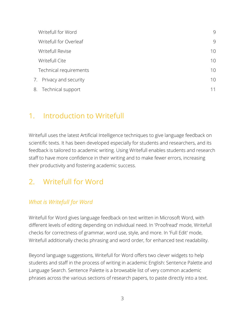| Writefull for Word      | 9  |
|-------------------------|----|
| Writefull for Overleaf  | 9  |
| Writefull Revise        | 10 |
| Writefull Cite          | 10 |
| Technical requirements  | 10 |
| 7. Privacy and security | 10 |
| 8. Technical support    | 11 |

## <span id="page-2-0"></span>1. Introduction to Writefull

Writefull uses the latest Artificial Intelligence techniques to give language feedback on scientific texts. It has been developed especially for students and researchers, and its feedback is tailored to academic writing. Using Writefull enables students and research staff to have more confidence in their writing and to make fewer errors, increasing their productivity and fostering academic success.

## <span id="page-2-1"></span>2. Writefull for Word

#### <span id="page-2-2"></span>*What is Writefull for Word*

Writefull for Word gives language feedback on text written in Microsoft Word, with different levels of editing depending on individual need. In 'Proofread' mode, Writefull checks for correctness of grammar, word use, style, and more. In 'Full Edit' mode, Writefull additionally checks phrasing and word order, for enhanced text readability.

Beyond language suggestions, Writefull for Word offers two clever widgets to help students and staff in the process of writing in academic English: Sentence Palette and Language Search. Sentence Palette is a browsable list of very common academic phrases across the various sections of research papers, to paste directly into a text.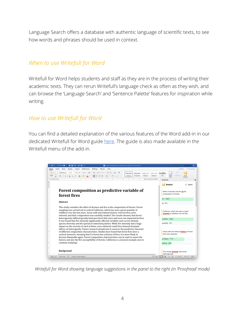Language Search offers a database with authentic language of scientific texts, to see how words and phrases should be used in context.

#### <span id="page-3-0"></span>*When to use Writefull for Word*

Writefull for Word helps students and staff as they are in the process of writing their academic texts. They can rerun Writefull's language check as often as they wish, and can browse the 'Language Search' and 'Sentence Palette' features for inspiration while writing.

#### <span id="page-3-1"></span>*How to use Writefull for Word*

You can find a detailed explanation of the various features of the Word add-in in our dedicated Writefull for Word guide [here.](https://www.notion.so/writefull/Writefull-for-Word-User-Guide-12812d48afef409e96d9d8d3efdd9b4b) The guide is also made available in the Writefull menu of the add-in.



*Writefull for Word showing language suggestions in the panel to the right (in 'Proofread' mode)*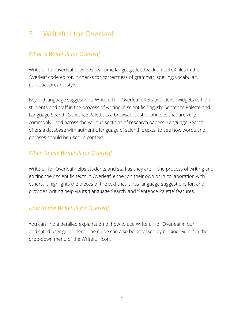## <span id="page-4-0"></span>3. Writefull for Overleaf

#### <span id="page-4-1"></span>*What is Writefull for Overleaf*

Writefull for Overleaf provides real-time language feedback on LaTeX files in the Overleaf code editor. It checks for correctness of grammar, spelling, vocabulary, punctuation, and style.

Beyond language suggestions, Writefull for Overleaf offers two clever widgets to help students and staff in the process of writing in scientific English: Sentence Palette and Language Search. Sentence Palette is a browsable list of phrases that are very commonly used across the various sections of research papers. Language Search offers a database with authentic language of scientific texts, to see how words and phrases should be used in context.

#### <span id="page-4-2"></span>*When to use Writefull for Overleaf*

Writefull for Overleaf helps students and staff as they are in the process of writing and editing their scientific texts in Overleaf, either on their own or in collaboration with others. It highlights the pieces of the text that it has language suggestions for, and provides writing help via its 'Language Search' and 'Sentence Palette' features.

#### <span id="page-4-3"></span>*How to use Writefull for Overleaf*

You can find a detailed explanation of how to use Writefull for Overleaf in our dedicated user guide [here](https://www.notion.so/writefull/Writefull-for-Overleaf-User-Guide-c436f00a62ff441b8f2b922878e38025). The guide can also be accessed by clicking 'Guide' in the drop-down menu of the Writefull icon.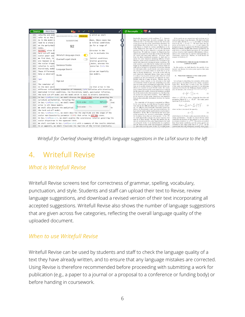

*Writefull for Overleaf showing Writefull's language suggestions in the LaTeX source to the left*

## <span id="page-5-0"></span>4. Writefull Revise

#### <span id="page-5-1"></span>*What is Writefull Revise*

Writefull Revise screens text for correctness of grammar, spelling, vocabulary, punctuation, and style. Students and staff can upload their text to Revise, review language suggestions, and download a revised version of their text incorporating all accepted suggestions. Writefull Revise also shows the number of language suggestions that are given across five categories, reflecting the overall language quality of the uploaded document.

#### <span id="page-5-2"></span>*When to use Writefull Revise*

Writefull Revise can be used by students and staff to check the language quality of a text they have already written, and to ensure that any language mistakes are corrected. Using Revise is therefore recommended before proceeding with submitting a work for publication (e.g., a paper to a journal or a proposal to a conference or funding body) or before handing in coursework.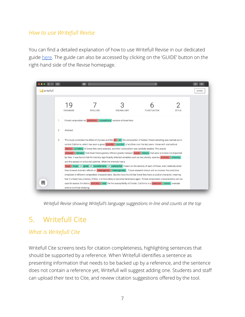#### <span id="page-6-0"></span>*How to use Writefull Revise*

You can find a detailed explanation of how to use Writefull Revise in our dedicated guide [here.](https://www.notion.so/writefull/Writefull-Revise-User-Guide-b20b77418f5f40418bd3ff20ee6a2cd4) The guide can also be accessed by clicking on the 'GUIDE' button on the right-hand side of the Revise homepage.



*Writefull Revise showing Writefull's language suggestions in-line and counts at the top*

## <span id="page-6-1"></span>5. Writefull Cite

#### <span id="page-6-2"></span>*What is Writefull Cite*

Writefull Cite screens texts for citation completeness, highlighting sentences that should be supported by a reference. When Writefull identifies a sentence as presenting information that needs to be backed up by a reference, and the sentence does not contain a reference yet, Writefull will suggest adding one. Students and staff can upload their text to Cite, and review citation suggestions offered by the tool.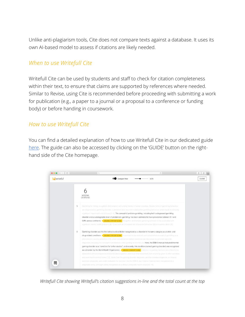Unlike anti-plagiarism tools, Cite does not compare texts against a database. It uses its own AI-based model to assess if citations are likely needed.

#### <span id="page-7-0"></span>*When to use Writefull Cite*

Writefull Cite can be used by students and staff to check for citation completeness within their text, to ensure that claims are supported by references where needed. Similar to Revise, using Cite is recommended before proceeding with submitting a work for publication (e.g., a paper to a journal or a proposal to a conference or funding body) or before handing in coursework.

#### <span id="page-7-1"></span>*How to use Writefull Cite*

You can find a detailed explanation of how to use Writefull Cite in our dedicated guide [here](https://www.notion.so/writefull/Writefull-Cite-User-Guide-c6e4b6f2a9584c48a98bd4e1430aad90). The guide can also be accessed by clicking on the 'GUIDE' button on the righthand side of the Cite homepage.



*Writefull Cite showing Writefull's citation suggestions in-line and the total count at the top*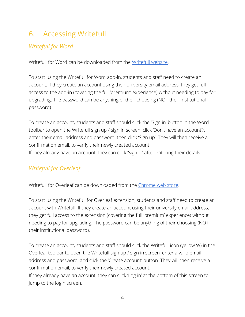## <span id="page-8-0"></span>6. Accessing Writefull

#### <span id="page-8-1"></span>*Writefull for Word*

Writefull for Word can be downloaded from the [Writefull website.](https://writefull.com/researchers.html)

To start using the Writefull for Word add-in, students and staff need to create an account. If they create an account using their university email address, they get full access to the add-in (covering the full 'premium' experience) without needing to pay for upgrading. The password can be anything of their choosing (NOT their institutional password).

To create an account, students and staff should click the 'Sign in' button in the Word toolbar to open the Writefull sign up / sign in screen, click 'Don't have an account?', enter their email address and password, then click 'Sign up'. They will then receive a confirmation email, to verify their newly created account. If they already have an account, they can click 'Sign in' after entering their details.

#### <span id="page-8-2"></span>*Writefull for Overleaf*

Writefull for Overleaf can be downloaded from the [Chrome web store.](https://chrome.google.com/webstore/detail/writefull-for-overleaf/edhnemgfcihjcpfhkoiiejgedkbefnhg)

To start using the Writefull for Overleaf extension, students and staff need to create an account with Writefull. If they create an account using their university email address, they get full access to the extension (covering the full 'premium' experience) without needing to pay for upgrading. The password can be anything of their choosing (NOT their institutional password).

To create an account, students and staff should click the Writefull icon (yellow W) in the Overleaf toolbar to open the Writefull sign up / sign in screen, enter a valid email address and password, and click the 'Create account' button. They will then receive a confirmation email, to verify their newly created account.

If they already have an account, they can click 'Log in' at the bottom of this screen to jump to the login screen.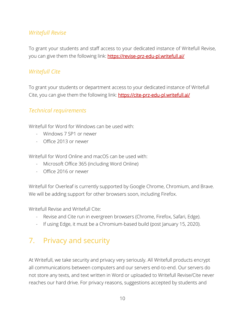#### <span id="page-9-0"></span>*Writefull Revise*

To grant your students and staff access to your dedicated instance of Writefull Revise, you can give them the following link: **<https://revise-prz-edu-pl.writefull.ai/>** 

#### <span id="page-9-1"></span>*Writefull Cite*

To grant your students or department access to your dedicated instance of Writefull Cite, you can give them the following link:<https://cite-prz-edu-pl.writefull.ai/>

#### <span id="page-9-2"></span>*Technical requirements*

Writefull for Word for Windows can be used with:

- Windows 7 SP1 or newer
- Office 2013 or newer

Writefull for Word Online and macOS can be used with:

- Microsoft Office 365 (including Word Online)
- Office 2016 or newer

Writefull for Overleaf is currently supported by Google Chrome, Chromium, and Brave. We will be adding support for other browsers soon, including Firefox.

Writefull Revise and Writefull Cite:

- Revise and Cite run in evergreen browsers (Chrome, Firefox, Safari, Edge).
- If using Edge, it must be a Chromium-based build (post January 15, 2020).

## <span id="page-9-3"></span>7. Privacy and security

At Writefull, we take security and privacy very seriously. All Writefull products encrypt all communications between computers and our servers end-to-end. Our servers do not store any texts, and text written in Word or uploaded to Writefull Revise/Cite never reaches our hard drive. For privacy reasons, suggestions accepted by students and